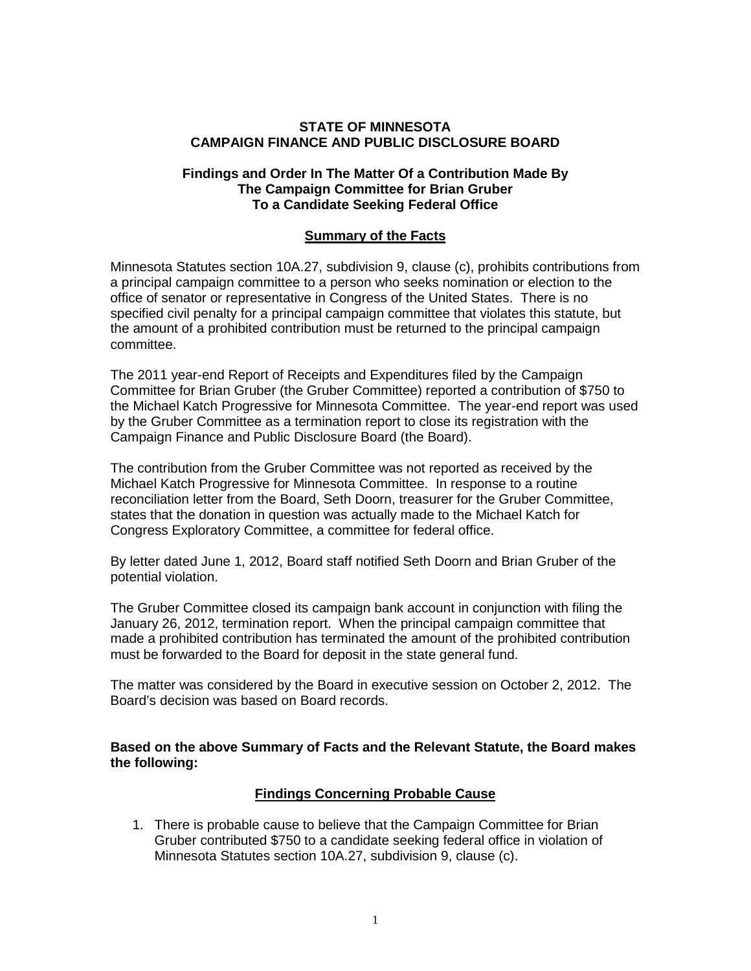### **STATE OF MINNESOTA CAMPAIGN FINANCE AND PUBLIC DISCLOSURE BOARD**

#### **Findings and Order In The Matter Of a Contribution Made By The Campaign Committee for Brian Gruber To a Candidate Seeking Federal Office**

### **Summary of the Facts**

Minnesota Statutes section 10A.27, subdivision 9, clause (c), prohibits contributions from a principal campaign committee to a person who seeks nomination or election to the office of senator or representative in Congress of the United States. There is no specified civil penalty for a principal campaign committee that violates this statute, but the amount of a prohibited contribution must be returned to the principal campaign committee.

The 2011 year-end Report of Receipts and Expenditures filed by the Campaign Committee for Brian Gruber (the Gruber Committee) reported a contribution of \$750 to the Michael Katch Progressive for Minnesota Committee. The year-end report was used by the Gruber Committee as a termination report to close its registration with the Campaign Finance and Public Disclosure Board (the Board).

The contribution from the Gruber Committee was not reported as received by the Michael Katch Progressive for Minnesota Committee. In response to a routine reconciliation letter from the Board, Seth Doorn, treasurer for the Gruber Committee, states that the donation in question was actually made to the Michael Katch for Congress Exploratory Committee, a committee for federal office.

By letter dated June 1, 2012, Board staff notified Seth Doorn and Brian Gruber of the potential violation.

The Gruber Committee closed its campaign bank account in conjunction with filing the January 26, 2012, termination report. When the principal campaign committee that made a prohibited contribution has terminated the amount of the prohibited contribution must be forwarded to the Board for deposit in the state general fund.

The matter was considered by the Board in executive session on October 2, 2012. The Board's decision was based on Board records.

#### **Based on the above Summary of Facts and the Relevant Statute, the Board makes the following:**

## **Findings Concerning Probable Cause**

1. There is probable cause to believe that the Campaign Committee for Brian Gruber contributed \$750 to a candidate seeking federal office in violation of Minnesota Statutes section 10A.27, subdivision 9, clause (c).